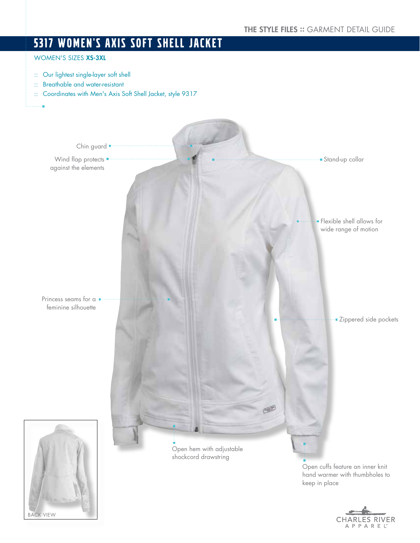# 5317 WOMEN'S AXIS SOFT SHELL JACKET

## WOMEN'S SIZES XS-3XL

- :: Our lightest single-layer soft shell
- :: Breathable and water-resistant
- :: Coordinates with Men's Axis Soft Shell Jacket, style 9317